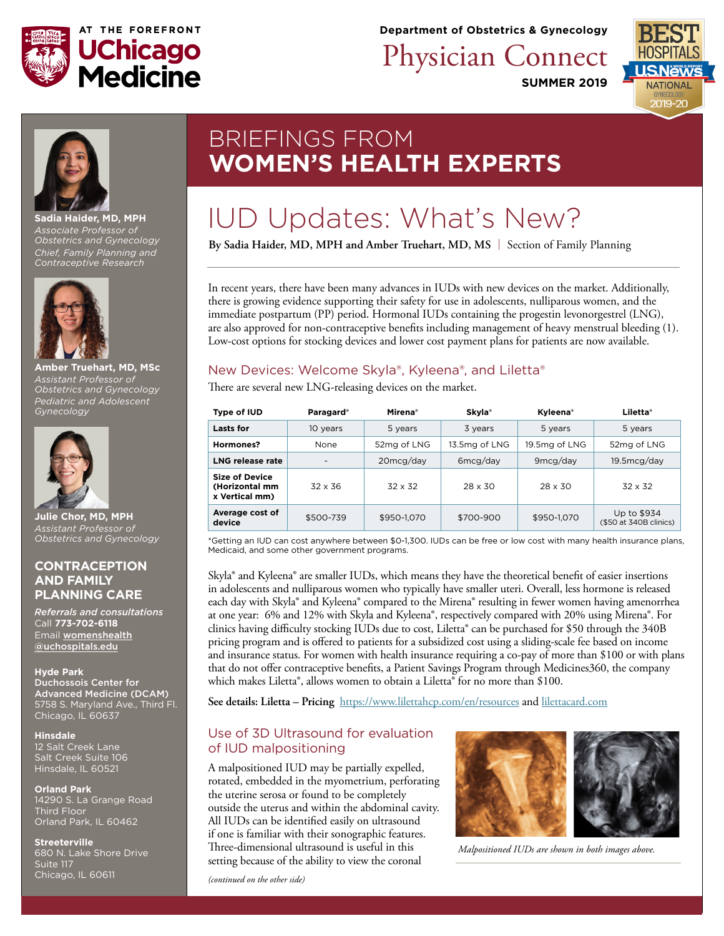

**Department of Obstetrics & Gynecology**

Physician Connect

**SUMMER 2019**





**Sadia Haider, MD, MPH** *Associate Professor of Obstetrics and Gynecology Chief, Family Planning and Contraceptive Research*



**Amber Truehart, MD, MSc** *Assistant Professor of Obstetrics and Gynecology Pediatric and Adolescent Gynecology*



**Julie Chor, MD, MPH** *Assistant Professor of Obstetrics and Gynecology*

#### **CONTRACEPTION AND FAMILY PLANNING CARE**

*Referrals and consultations* Call **773-702-6118** Email [womenshealth](mailto:womenshealth%40uchospitals.edu?subject=Contraception%20and%20Family%20Planning%20Care) [@uchospitals.edu](mailto:womenshealth%40uchospitals.edu?subject=Contraception%20and%20Family%20Planning%20Care) 

#### **Hyde Park**

Duchossois Center for Advanced Medicine (DCAM) 5758 S. Maryland Ave., Third Fl. Chicago, IL 60637

**Hinsdale** 12 Salt Creek Lane Salt Creek Suite 106 Hinsdale, IL 60521

#### **Orland Park**

14290 S. La Grange Road Third Floor Orland Park, IL 60462

**Streeterville** 680 N. Lake Shore Drive Suite 117 Chicago, IL 60611

## BRIEFINGS FROM **WOMEN'S HEALTH EXPERTS**

# IUD Updates: What's New?

**By Sadia Haider, MD, MPH and Amber Truehart, MD, MS** | Section of Family Planning

In recent years, there have been many advances in IUDs with new devices on the market. Additionally, there is growing evidence supporting their safety for use in adolescents, nulliparous women, and the immediate postpartum (PP) period. Hormonal IUDs containing the progestin levonorgestrel (LNG), are also approved for non-contraceptive benefits including management of heavy menstrual bleeding (1). Low-cost options for stocking devices and lower cost payment plans for patients are now available.

## New Devices: Welcome Skyla®, Kyleena®, and Liletta®

There are several new LNG-releasing devices on the market.

| Type of IUD                                               | Paragard <sup>®</sup>    | Mirena <sup>®</sup> | Skyla <sup>®</sup> | Kyleena <sup>®</sup> | Liletta <sup>®</sup>                  |
|-----------------------------------------------------------|--------------------------|---------------------|--------------------|----------------------|---------------------------------------|
| <b>Lasts for</b>                                          | 10 years                 | 5 years             | 3 years            | 5 years              | 5 years                               |
| Hormones?                                                 | None                     | 52mg of LNG         | 13.5mg of LNG      | 19.5mg of LNG        | 52mg of LNG                           |
| LNG release rate                                          | $\overline{\phantom{a}}$ | $20 \text{mcg/day}$ | 6mcq/day           | 9 <sub>mcg/day</sub> | 19.5mcg/day                           |
| <b>Size of Device</b><br>(Horizontal mm<br>x Vertical mm) | $32 \times 36$           | $32 \times 32$      | $28 \times 30$     | $28 \times 30$       | $32 \times 32$                        |
| Average cost of<br>device                                 | \$500-739                | \$950-1.070         | \$700-900          | \$950-1,070          | Up to \$934<br>(\$50 at 340B clinics) |

\*Getting an IUD can cost anywhere between \$0-1,300. IUDs can be free or low cost with many health insurance plans, Medicaid, and some other government programs.

Skyla® and Kyleena® are smaller IUDs, which means they have the theoretical benefit of easier insertions in adolescents and nulliparous women who typically have smaller uteri. Overall, less hormone is released each day with Skyla® and Kyleena® compared to the Mirena® resulting in fewer women having amenorrhea at one year: 6% and 12% with Skyla and Kyleena®, respectively compared with 20% using Mirena®. For clinics having difficulty stocking IUDs due to cost, Liletta® can be purchased for \$50 through the 340B pricing program and is offered to patients for a subsidized cost using a sliding-scale fee based on income and insurance status. For women with health insurance requiring a co-pay of more than \$100 or with plans that do not offer contraceptive benefits, a Patient Savings Program through Medicines360, the company which makes Liletta®, allows women to obtain a Liletta® for no more than \$100.

**See details: Liletta – Pricing** <https://www.lilettahcp.com/en/resources> and [lilettacard.com](https://www.lilettacard.com/)

### Use of 3D Ultrasound for evaluation of IUD malpositioning

A malpositioned IUD may be partially expelled, rotated, embedded in the myometrium, perforating the uterine serosa or found to be completely outside the uterus and within the abdominal cavity. All IUDs can be identified easily on ultrasound if one is familiar with their sonographic features. Three-dimensional ultrasound is useful in this setting because of the ability to view the coronal



 *Malpositioned IUDs are shown in both images above.*

*(continued on the other side)*